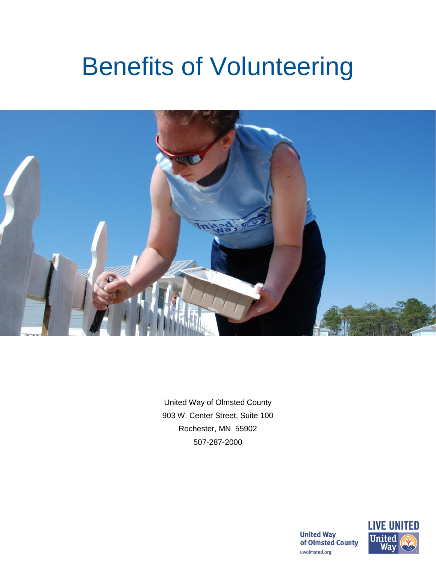# Benefits of Volunteering



United Way of Olmsted County 903 W. Center Street, Suite 100 Rochester, MN 55902 507-287-2000

> **United Way** of Olmsted County uwolmsted.org

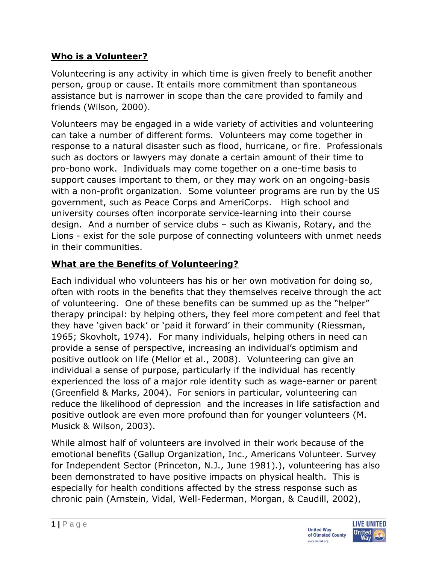### **Who is a Volunteer?**

Volunteering is any activity in which time is given freely to benefit another person, group or cause. It entails more commitment than spontaneous assistance but is narrower in scope than the care provided to family and friends (Wilson, 2000).

Volunteers may be engaged in a wide variety of activities and volunteering can take a number of different forms. Volunteers may come together in response to a natural disaster such as flood, hurricane, or fire. Professionals such as doctors or lawyers may donate a certain amount of their time to pro-bono work. Individuals may come together on a one-time basis to support causes important to them, or they may work on an ongoing-basis with a non-profit organization. Some volunteer programs are run by the US government, such as Peace Corps and AmeriCorps. High school and university courses often incorporate service-learning into their course design. And a number of service clubs – such as Kiwanis, Rotary, and the Lions - exist for the sole purpose of connecting volunteers with unmet needs in their communities.

### **What are the Benefits of Volunteering?**

Each individual who volunteers has his or her own motivation for doing so, often with roots in the benefits that they themselves receive through the act of volunteering. One of these benefits can be summed up as the "helper" therapy principal: by helping others, they feel more competent and feel that they have 'given back' or 'paid it forward' in their community (Riessman, 1965; Skovholt, 1974). For many individuals, helping others in need can provide a sense of perspective, increasing an individual's optimism and positive outlook on life (Mellor et al., 2008). Volunteering can give an individual a sense of purpose, particularly if the individual has recently experienced the loss of a major role identity such as wage-earner or parent (Greenfield & Marks, 2004). For seniors in particular, volunteering can reduce the likelihood of depression and the increases in life satisfaction and positive outlook are even more profound than for younger volunteers (M. Musick & Wilson, 2003).

While almost half of volunteers are involved in their work because of the emotional benefits (Gallup Organization, Inc., Americans Volunteer. Survey for Independent Sector (Princeton, N.J., June 1981).), volunteering has also been demonstrated to have positive impacts on physical health. This is especially for health conditions affected by the stress response such as chronic pain (Arnstein, Vidal, Well-Federman, Morgan, & Caudill, 2002),

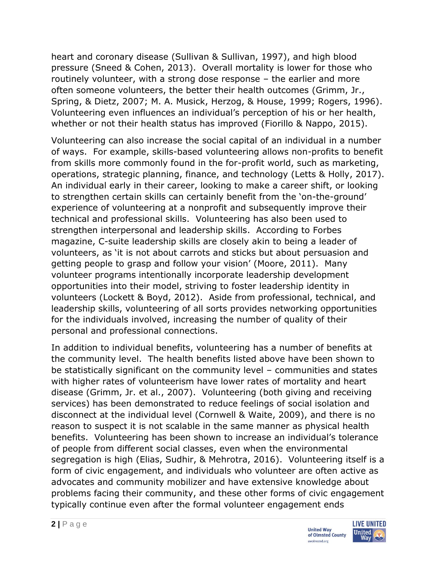heart and coronary disease (Sullivan & Sullivan, 1997), and high blood pressure (Sneed & Cohen, 2013). Overall mortality is lower for those who routinely volunteer, with a strong dose response – the earlier and more often someone volunteers, the better their health outcomes (Grimm, Jr., Spring, & Dietz, 2007; M. A. Musick, Herzog, & House, 1999; Rogers, 1996). Volunteering even influences an individual's perception of his or her health, whether or not their health status has improved (Fiorillo & Nappo, 2015).

Volunteering can also increase the social capital of an individual in a number of ways. For example, skills-based volunteering allows non-profits to benefit from skills more commonly found in the for-profit world, such as marketing, operations, strategic planning, finance, and technology (Letts & Holly, 2017). An individual early in their career, looking to make a career shift, or looking to strengthen certain skills can certainly benefit from the 'on-the-ground' experience of volunteering at a nonprofit and subsequently improve their technical and professional skills. Volunteering has also been used to strengthen interpersonal and leadership skills. According to Forbes magazine, C-suite leadership skills are closely akin to being a leader of volunteers, as 'it is not about carrots and sticks but about persuasion and getting people to grasp and follow your vision' (Moore, 2011). Many volunteer programs intentionally incorporate leadership development opportunities into their model, striving to foster leadership identity in volunteers (Lockett & Boyd, 2012). Aside from professional, technical, and leadership skills, volunteering of all sorts provides networking opportunities for the individuals involved, increasing the number of quality of their personal and professional connections.

In addition to individual benefits, volunteering has a number of benefits at the community level. The health benefits listed above have been shown to be statistically significant on the community level – communities and states with higher rates of volunteerism have lower rates of mortality and heart disease (Grimm, Jr. et al., 2007). Volunteering (both giving and receiving services) has been demonstrated to reduce feelings of social isolation and disconnect at the individual level (Cornwell & Waite, 2009), and there is no reason to suspect it is not scalable in the same manner as physical health benefits. Volunteering has been shown to increase an individual's tolerance of people from different social classes, even when the environmental segregation is high (Elias, Sudhir, & Mehrotra, 2016). Volunteering itself is a form of civic engagement, and individuals who volunteer are often active as advocates and community mobilizer and have extensive knowledge about problems facing their community, and these other forms of civic engagement typically continue even after the formal volunteer engagement ends

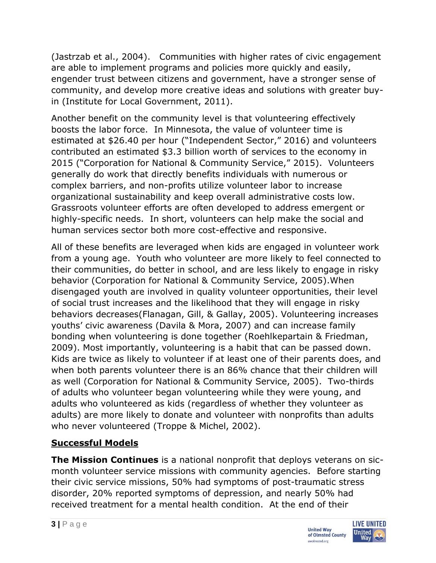(Jastrzab et al., 2004). Communities with higher rates of civic engagement are able to implement programs and policies more quickly and easily, engender trust between citizens and government, have a stronger sense of community, and develop more creative ideas and solutions with greater buyin (Institute for Local Government, 2011).

Another benefit on the community level is that volunteering effectively boosts the labor force. In Minnesota, the value of volunteer time is estimated at \$26.40 per hour ("Independent Sector," 2016) and volunteers contributed an estimated \$3.3 billion worth of services to the economy in 2015 ("Corporation for National & Community Service," 2015). Volunteers generally do work that directly benefits individuals with numerous or complex barriers, and non-profits utilize volunteer labor to increase organizational sustainability and keep overall administrative costs low. Grassroots volunteer efforts are often developed to address emergent or highly-specific needs. In short, volunteers can help make the social and human services sector both more cost-effective and responsive.

All of these benefits are leveraged when kids are engaged in volunteer work from a young age. Youth who volunteer are more likely to feel connected to their communities, do better in school, and are less likely to engage in risky behavior (Corporation for National & Community Service, 2005).When disengaged youth are involved in quality volunteer opportunities, their level of social trust increases and the likelihood that they will engage in risky behaviors decreases(Flanagan, Gill, & Gallay, 2005). Volunteering increases youths' civic awareness (Davila & Mora, 2007) and can increase family bonding when volunteering is done together (Roehlkepartain & Friedman, 2009). Most importantly, volunteering is a habit that can be passed down. Kids are twice as likely to volunteer if at least one of their parents does, and when both parents volunteer there is an 86% chance that their children will as well (Corporation for National & Community Service, 2005). Two-thirds of adults who volunteer began volunteering while they were young, and adults who volunteered as kids (regardless of whether they volunteer as adults) are more likely to donate and volunteer with nonprofits than adults who never volunteered (Troppe & Michel, 2002).

## **Successful Models**

**The Mission Continues** is a national nonprofit that deploys veterans on sicmonth volunteer service missions with community agencies. Before starting their civic service missions, 50% had symptoms of post-traumatic stress disorder, 20% reported symptoms of depression, and nearly 50% had received treatment for a mental health condition. At the end of their

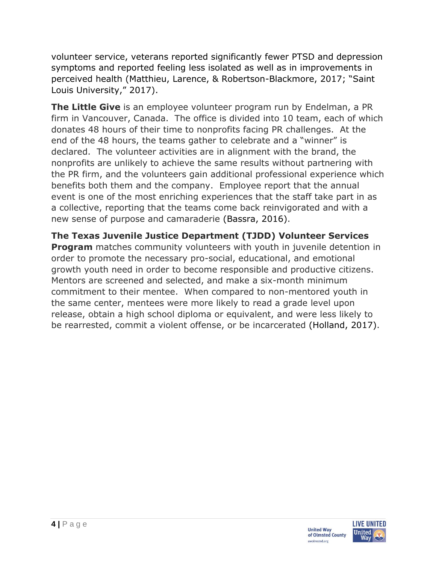volunteer service, veterans reported significantly fewer PTSD and depression symptoms and reported feeling less isolated as well as in improvements in perceived health (Matthieu, Larence, & Robertson-Blackmore, 2017; "Saint Louis University," 2017).

**The Little Give** is an employee volunteer program run by Endelman, a PR firm in Vancouver, Canada. The office is divided into 10 team, each of which donates 48 hours of their time to nonprofits facing PR challenges. At the end of the 48 hours, the teams gather to celebrate and a "winner" is declared. The volunteer activities are in alignment with the brand, the nonprofits are unlikely to achieve the same results without partnering with the PR firm, and the volunteers gain additional professional experience which benefits both them and the company. Employee report that the annual event is one of the most enriching experiences that the staff take part in as a collective, reporting that the teams come back reinvigorated and with a new sense of purpose and camaraderie (Bassra, 2016).

**The Texas Juvenile Justice Department (TJDD) Volunteer Services Program** matches community volunteers with youth in juvenile detention in order to promote the necessary pro-social, educational, and emotional growth youth need in order to become responsible and productive citizens. Mentors are screened and selected, and make a six-month minimum commitment to their mentee. When compared to non-mentored youth in the same center, mentees were more likely to read a grade level upon release, obtain a high school diploma or equivalent, and were less likely to be rearrested, commit a violent offense, or be incarcerated (Holland, 2017).

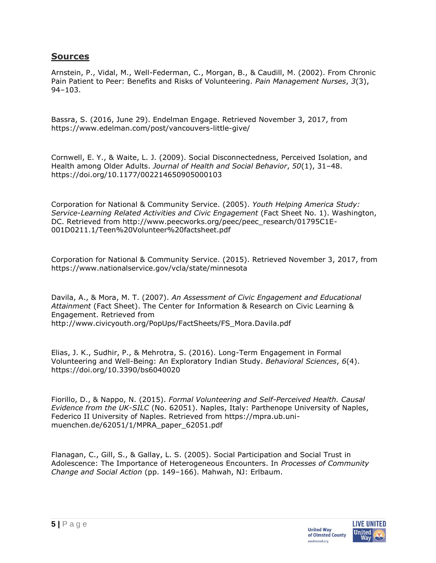#### **Sources**

Arnstein, P., Vidal, M., Well-Federman, C., Morgan, B., & Caudill, M. (2002). From Chronic Pain Patient to Peer: Benefits and Risks of Volunteering. *Pain Management Nurses*, *3*(3), 94–103.

Bassra, S. (2016, June 29). Endelman Engage. Retrieved November 3, 2017, from https://www.edelman.com/post/vancouvers-little-give/

Cornwell, E. Y., & Waite, L. J. (2009). Social Disconnectedness, Perceived Isolation, and Health among Older Adults. *Journal of Health and Social Behavior*, *50*(1), 31–48. https://doi.org/10.1177/002214650905000103

Corporation for National & Community Service. (2005). *Youth Helping America Study: Service-Learning Related Activities and Civic Engagement* (Fact Sheet No. 1). Washington, DC. Retrieved from http://www.peecworks.org/peec/peec\_research/01795C1E-001D0211.1/Teen%20Volunteer%20factsheet.pdf

Corporation for National & Community Service. (2015). Retrieved November 3, 2017, from https://www.nationalservice.gov/vcla/state/minnesota

Davila, A., & Mora, M. T. (2007). *An Assessment of Civic Engagement and Educational Attainment* (Fact Sheet). The Center for Information & Research on Civic Learning & Engagement. Retrieved from http://www.civicyouth.org/PopUps/FactSheets/FS\_Mora.Davila.pdf

Elias, J. K., Sudhir, P., & Mehrotra, S. (2016). Long-Term Engagement in Formal Volunteering and Well-Being: An Exploratory Indian Study. *Behavioral Sciences*, *6*(4). https://doi.org/10.3390/bs6040020

Fiorillo, D., & Nappo, N. (2015). *Formal Volunteering and Self-Perceived Health. Causal Evidence from the UK-SILC* (No. 62051). Naples, Italy: Parthenope University of Naples, Federico II University of Naples. Retrieved from https://mpra.ub.unimuenchen.de/62051/1/MPRA\_paper\_62051.pdf

Flanagan, C., Gill, S., & Gallay, L. S. (2005). Social Participation and Social Trust in Adolescence: The Importance of Heterogeneous Encounters. In *Processes of Community Change and Social Action* (pp. 149–166). Mahwah, NJ: Erlbaum.

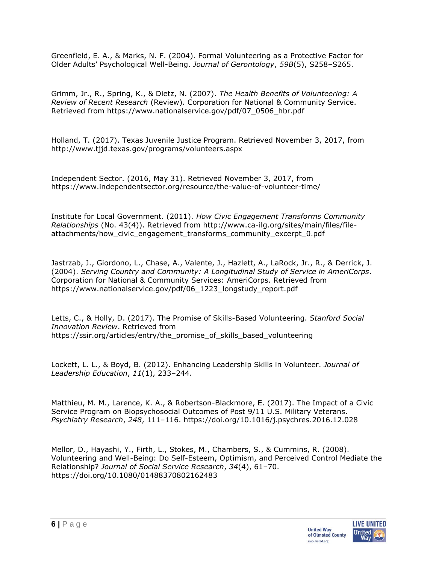Greenfield, E. A., & Marks, N. F. (2004). Formal Volunteering as a Protective Factor for Older Adults' Psychological Well-Being. *Journal of Gerontology*, *59B*(5), S258–S265.

Grimm, Jr., R., Spring, K., & Dietz, N. (2007). *The Health Benefits of Volunteering: A Review of Recent Research* (Review). Corporation for National & Community Service. Retrieved from https://www.nationalservice.gov/pdf/07\_0506\_hbr.pdf

Holland, T. (2017). Texas Juvenile Justice Program. Retrieved November 3, 2017, from http://www.tjjd.texas.gov/programs/volunteers.aspx

Independent Sector. (2016, May 31). Retrieved November 3, 2017, from https://www.independentsector.org/resource/the-value-of-volunteer-time/

Institute for Local Government. (2011). *How Civic Engagement Transforms Community Relationships* (No. 43(4)). Retrieved from http://www.ca-ilg.org/sites/main/files/fileattachments/how\_civic\_engagement\_transforms\_community\_excerpt\_0.pdf

Jastrzab, J., Giordono, L., Chase, A., Valente, J., Hazlett, A., LaRock, Jr., R., & Derrick, J. (2004). *Serving Country and Community: A Longitudinal Study of Service in AmeriCorps*. Corporation for National & Community Services: AmeriCorps. Retrieved from https://www.nationalservice.gov/pdf/06\_1223\_longstudy\_report.pdf

Letts, C., & Holly, D. (2017). The Promise of Skills-Based Volunteering. *Stanford Social Innovation Review*. Retrieved from https://ssir.org/articles/entry/the\_promise\_of\_skills\_based\_volunteering

Lockett, L. L., & Boyd, B. (2012). Enhancing Leadership Skills in Volunteer. *Journal of Leadership Education*, *11*(1), 233–244.

Matthieu, M. M., Larence, K. A., & Robertson-Blackmore, E. (2017). The Impact of a Civic Service Program on Biopsychosocial Outcomes of Post 9/11 U.S. Military Veterans. *Psychiatry Research*, *248*, 111–116. https://doi.org/10.1016/j.psychres.2016.12.028

Mellor, D., Hayashi, Y., Firth, L., Stokes, M., Chambers, S., & Cummins, R. (2008). Volunteering and Well-Being: Do Self-Esteem, Optimism, and Perceived Control Mediate the Relationship? *Journal of Social Service Research*, *34*(4), 61–70. https://doi.org/10.1080/01488370802162483

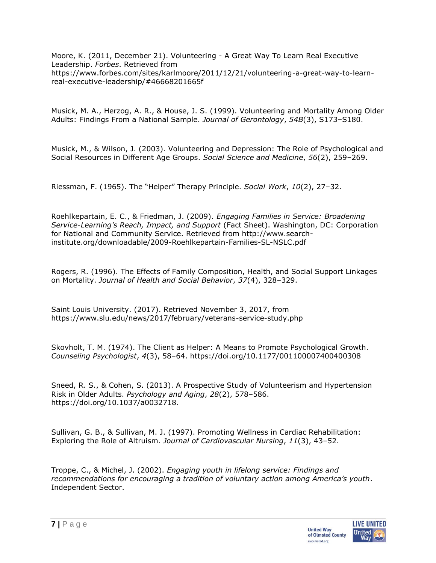Moore, K. (2011, December 21). Volunteering - A Great Way To Learn Real Executive Leadership. *Forbes*. Retrieved from https://www.forbes.com/sites/karlmoore/2011/12/21/volunteering-a-great-way-to-learnreal-executive-leadership/#46668201665f

Musick, M. A., Herzog, A. R., & House, J. S. (1999). Volunteering and Mortality Among Older Adults: Findings From a National Sample. *Journal of Gerontology*, *54B*(3), S173–S180.

Musick, M., & Wilson, J. (2003). Volunteering and Depression: The Role of Psychological and Social Resources in Different Age Groups. *Social Science and Medicine*, *56*(2), 259–269.

Riessman, F. (1965). The "Helper" Therapy Principle. *Social Work*, *10*(2), 27–32.

Roehlkepartain, E. C., & Friedman, J. (2009). *Engaging Families in Service: Broadening Service-Learning's Reach, Impact, and Support* (Fact Sheet). Washington, DC: Corporation for National and Community Service. Retrieved from http://www.searchinstitute.org/downloadable/2009-Roehlkepartain-Families-SL-NSLC.pdf

Rogers, R. (1996). The Effects of Family Composition, Health, and Social Support Linkages on Mortality. *Journal of Health and Social Behavior*, *37*(4), 328–329.

Saint Louis University. (2017). Retrieved November 3, 2017, from https://www.slu.edu/news/2017/february/veterans-service-study.php

Skovholt, T. M. (1974). The Client as Helper: A Means to Promote Psychological Growth. *Counseling Psychologist*, *4*(3), 58–64. https://doi.org/10.1177/001100007400400308

Sneed, R. S., & Cohen, S. (2013). A Prospective Study of Volunteerism and Hypertension Risk in Older Adults. *Psychology and Aging*, *28*(2), 578–586. https://doi.org/10.1037/a0032718.

Sullivan, G. B., & Sullivan, M. J. (1997). Promoting Wellness in Cardiac Rehabilitation: Exploring the Role of Altruism. *Journal of Cardiovascular Nursing*, *11*(3), 43–52.

Troppe, C., & Michel, J. (2002). *Engaging youth in lifelong service: Findings and recommendations for encouraging a tradition of voluntary action among America's youth*. Independent Sector.